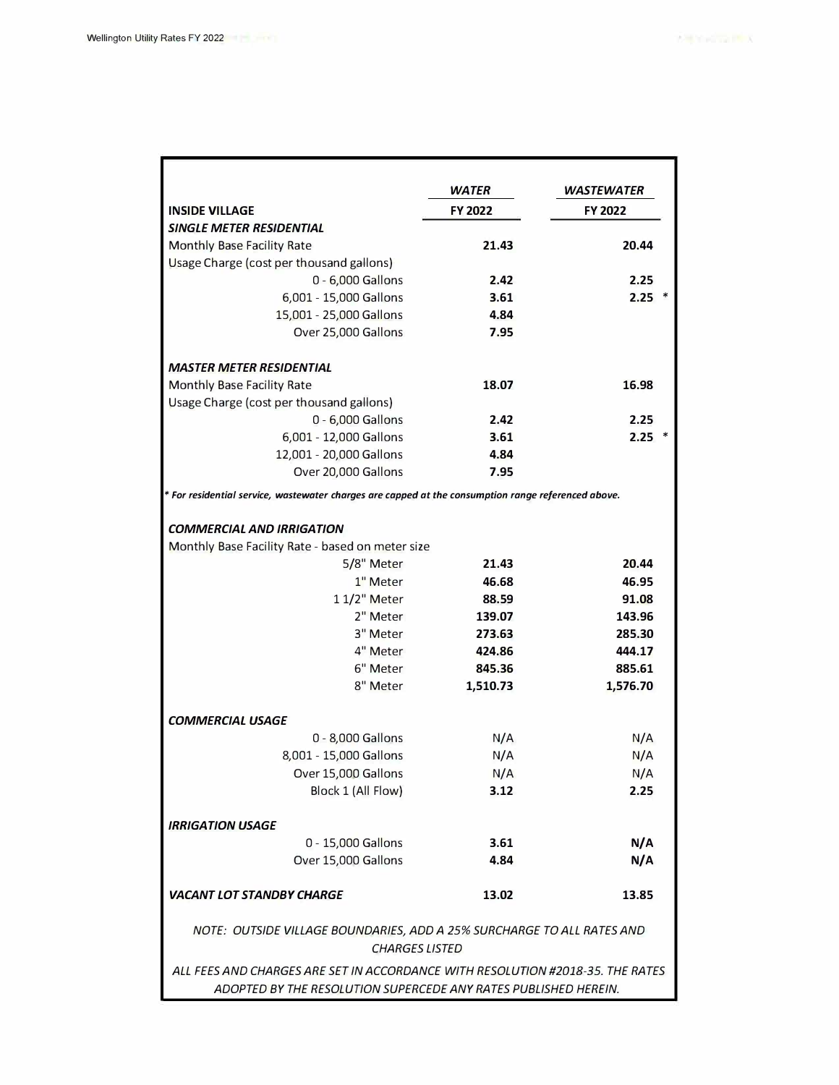|                                                                                                                                                   | <b>WATER</b>   | <b>WASTEWATER</b> |
|---------------------------------------------------------------------------------------------------------------------------------------------------|----------------|-------------------|
| <b>INSIDE VILLAGE</b>                                                                                                                             | <b>FY 2022</b> | <b>FY 2022</b>    |
| <b>SINGLE METER RESIDENTIAL</b>                                                                                                                   |                |                   |
| Monthly Base Facility Rate                                                                                                                        | 21.43          | 20.44             |
| Usage Charge (cost per thousand gallons)                                                                                                          |                |                   |
| 0 - 6,000 Gallons                                                                                                                                 | 2.42           | 2.25              |
| 6,001 - 15,000 Gallons                                                                                                                            | 3.61           | $2.25$ *          |
| 15,001 - 25,000 Gallons                                                                                                                           | 4.84           |                   |
| Over 25,000 Gallons                                                                                                                               | 7.95           |                   |
| <b>MASTER METER RESIDENTIAL</b>                                                                                                                   |                |                   |
| <b>Monthly Base Facility Rate</b>                                                                                                                 | 18.07          | 16.98             |
| Usage Charge (cost per thousand gallons)                                                                                                          |                |                   |
| 0 - 6,000 Gallons                                                                                                                                 | 2.42           | 2.25              |
| 6,001 - 12,000 Gallons                                                                                                                            | 3.61           | $2.25$ *          |
| 12,001 - 20,000 Gallons                                                                                                                           | 4.84           |                   |
| Over 20,000 Gallons                                                                                                                               | 7.95           |                   |
| * For residential service, wastewater charges are capped at the consumption range referenced above.                                               |                |                   |
|                                                                                                                                                   |                |                   |
| <b>COMMERCIAL AND IRRIGATION</b>                                                                                                                  |                |                   |
| Monthly Base Facility Rate - based on meter size                                                                                                  |                |                   |
| 5/8" Meter                                                                                                                                        | 21.43          | 20.44             |
| 1" Meter                                                                                                                                          | 46.68          | 46.95             |
| 1 1/2" Meter                                                                                                                                      | 88.59          | 91.08             |
| 2" Meter                                                                                                                                          | 139.07         | 143.96            |
| 3" Meter                                                                                                                                          | 273.63         | 285.30            |
| 4" Meter                                                                                                                                          | 424.86         | 444.17            |
| 6" Meter                                                                                                                                          | 845.36         | 885.61            |
| 8" Meter                                                                                                                                          | 1,510.73       | 1,576.70          |
|                                                                                                                                                   |                |                   |
| <b>COMMERCIAL USAGE</b>                                                                                                                           |                |                   |
| 0 - 8,000 Gallons                                                                                                                                 | N/A            | N/A               |
| 8,001 - 15,000 Gallons                                                                                                                            | N/A            | N/A               |
| Over 15,000 Gallons                                                                                                                               | N/A            | N/A               |
| Block 1 (All Flow)                                                                                                                                | 3.12           | 2.25              |
| <b>IRRIGATION USAGE</b>                                                                                                                           |                |                   |
| 0 - 15,000 Gallons                                                                                                                                | 3.61           | N/A               |
| Over 15,000 Gallons                                                                                                                               | 4.84           | N/A               |
|                                                                                                                                                   |                |                   |
| <b>VACANT LOT STANDBY CHARGE</b>                                                                                                                  | 13.02          | 13.85             |
| NOTE: OUTSIDE VILLAGE BOUNDARIES, ADD A 25% SURCHARGE TO ALL RATES AND<br><b>CHARGES LISTED</b>                                                   |                |                   |
| ALL FEES AND CHARGES ARE SET IN ACCORDANCE WITH RESOLUTION #2018-35. THE RATES<br>ADOPTED BY THE RESOLUTION SUPERCEDE ANY RATES PUBLISHED HEREIN. |                |                   |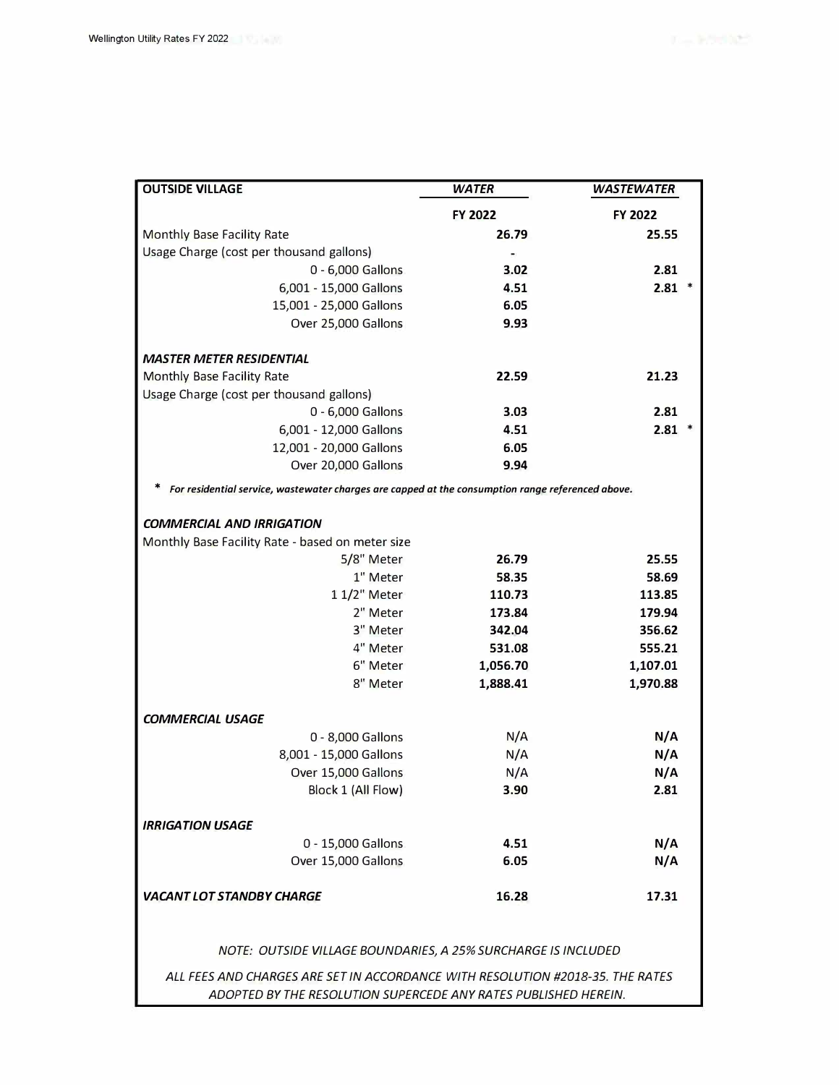| <b>OUTSIDE VILLAGE</b>                                                                            | <b>WATER</b> | <b>WASTEWATER</b> |
|---------------------------------------------------------------------------------------------------|--------------|-------------------|
|                                                                                                   | FY 2022      | <b>FY 2022</b>    |
| Monthly Base Facility Rate                                                                        | 26.79        | 25.55             |
| Usage Charge (cost per thousand gallons)                                                          |              |                   |
| 0 - 6,000 Gallons                                                                                 | 3.02         | 2.81              |
| 6,001 - 15,000 Gallons                                                                            | 4.51         | $2.81$ *          |
| 15,001 - 25,000 Gallons                                                                           | 6.05         |                   |
| Over 25,000 Gallons                                                                               | 9.93         |                   |
| <b>MASTER METER RESIDENTIAL</b>                                                                   |              |                   |
| Monthly Base Facility Rate                                                                        | 22.59        | 21.23             |
| Usage Charge (cost per thousand gallons)                                                          |              |                   |
| 0 - 6,000 Gallons                                                                                 | 3.03         | 2.81              |
| 6,001 - 12,000 Gallons                                                                            | 4.51         | $2.81$ *          |
| 12,001 - 20,000 Gallons                                                                           | 6.05         |                   |
| Over 20,000 Gallons                                                                               | 9.94         |                   |
| For residential service, wastewater charges are capped at the consumption range referenced above. |              |                   |
| <b>COMMERCIAL AND IRRIGATION</b>                                                                  |              |                   |
| Monthly Base Facility Rate - based on meter size                                                  |              |                   |
| 5/8" Meter                                                                                        | 26.79        | 25.55             |
| 1" Meter                                                                                          | 58.35        | 58.69             |
| 1 1/2" Meter                                                                                      | 110.73       | 113.85            |
| 2" Meter                                                                                          | 173.84       | 179.94            |
| 3" Meter                                                                                          | 342.04       | 356.62            |
| 4" Meter                                                                                          | 531.08       | 555.21            |
| 6" Meter                                                                                          | 1,056.70     | 1,107.01          |
| 8" Meter                                                                                          | 1,888.41     | 1,970.88          |
| <b>COMMERCIAL USAGE</b>                                                                           |              |                   |
| 0 - 8,000 Gallons                                                                                 | N/A          | N/A               |
| 8,001 - 15,000 Gallons                                                                            | N/A          | N/A               |
| Over 15,000 Gallons                                                                               | N/A          | N/A               |
| Block 1 (All Flow)                                                                                | 3.90         | 2.81              |
| <b>IRRIGATION USAGE</b>                                                                           |              |                   |
| 0 - 15,000 Gallons                                                                                | 4.51         | N/A               |
| Over 15,000 Gallons                                                                               | 6.05         | N/A               |
| <b>VACANT LOT STANDBY CHARGE</b>                                                                  | 16.28        | 17.31             |
| NOTE: OUTSIDE VILLAGE BOUNDARIES, A 25% SURCHARGE IS INCLUDED                                     |              |                   |
| ALL FEES AND CHARGES ARE SET IN ACCORDANCE WITH RESOLUTION #2018-35. THE RATES                    |              |                   |
| ADOPTED BY THE RESOLUTION SUPERCEDE ANY RATES PUBLISHED HEREIN.                                   |              |                   |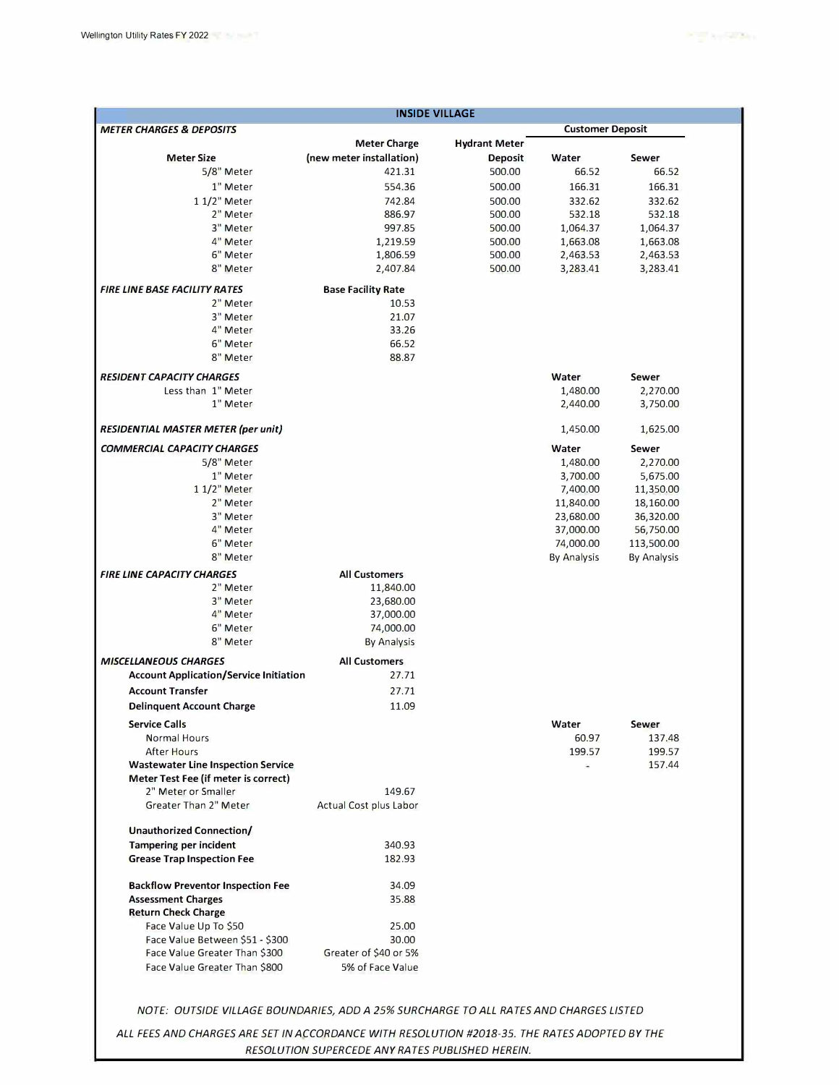| <b>METER CHARGES &amp; DEPOSITS</b><br><b>Customer Deposit</b> |                               |                      |                    |                    |
|----------------------------------------------------------------|-------------------------------|----------------------|--------------------|--------------------|
|                                                                | <b>Meter Charge</b>           | <b>Hydrant Meter</b> |                    |                    |
| <b>Meter Size</b>                                              | (new meter installation)      | <b>Deposit</b>       | Water              | <b>Sewer</b>       |
| 5/8" Meter                                                     | 421.31                        | 500.00               | 66.52              | 66.52              |
| 1" Meter                                                       | 554.36                        | 500.00               | 166.31             | 166.31             |
| 1 1/2" Meter                                                   | 742.84                        | 500.00               | 332.62             | 332.62             |
| 2" Meter                                                       | 886.97                        | 500.00               | 532.18             | 532.18             |
| 3" Meter                                                       | 997.85                        | 500.00               | 1,064.37           | 1,064.37           |
| 4" Meter                                                       | 1,219.59                      | 500.00               | 1,663.08           | 1,663.08           |
| 6" Meter                                                       | 1,806.59                      | 500.00               | 2,463.53           | 2,463.53           |
| 8" Meter                                                       | 2,407.84                      | 500.00               | 3,283.41           | 3,283.41           |
| <b>FIRE LINE BASE FACILITY RATES</b>                           | <b>Base Facility Rate</b>     |                      |                    |                    |
| 2" Meter                                                       | 10.53                         |                      |                    |                    |
| 3" Meter                                                       | 21.07                         |                      |                    |                    |
| 4" Meter                                                       | 33.26                         |                      |                    |                    |
| 6" Meter                                                       | 66.52                         |                      |                    |                    |
| 8" Meter                                                       | 88.87                         |                      |                    |                    |
|                                                                |                               |                      |                    |                    |
| <b>RESIDENT CAPACITY CHARGES</b>                               |                               |                      | Water              | Sewer              |
| Less than 1" Meter                                             |                               |                      | 1,480.00           | 2,270.00           |
| 1" Meter                                                       |                               |                      | 2,440.00           | 3,750.00           |
| <b>RESIDENTIAL MASTER METER (per unit)</b>                     |                               |                      | 1,450.00           | 1,625.00           |
| <b>COMMERCIAL CAPACITY CHARGES</b>                             |                               |                      | Water              |                    |
|                                                                |                               |                      |                    | Sewer              |
| 5/8" Meter                                                     |                               |                      | 1,480.00           | 2,270.00           |
| 1" Meter                                                       |                               |                      | 3,700.00           | 5,675.00           |
| 1 1/2" Meter                                                   |                               |                      | 7,400.00           | 11,350.00          |
| 2" Meter                                                       |                               |                      | 11,840.00          | 18,160.00          |
| 3" Meter                                                       |                               |                      | 23,680.00          | 36,320.00          |
| 4" Meter                                                       |                               |                      | 37,000.00          | 56,750.00          |
| 6" Meter                                                       |                               |                      | 74,000.00          | 113,500.00         |
| 8" Meter                                                       |                               |                      | <b>By Analysis</b> | <b>By Analysis</b> |
| <b>FIRE LINE CAPACITY CHARGES</b>                              | <b>All Customers</b>          |                      |                    |                    |
| 2" Meter                                                       | 11,840.00                     |                      |                    |                    |
| 3" Meter                                                       | 23,680.00                     |                      |                    |                    |
| 4" Meter                                                       | 37,000.00                     |                      |                    |                    |
| 6" Meter                                                       | 74,000.00                     |                      |                    |                    |
| 8" Meter                                                       | <b>By Analysis</b>            |                      |                    |                    |
|                                                                |                               |                      |                    |                    |
| <b>MISCELLANEOUS CHARGES</b>                                   | <b>All Customers</b>          |                      |                    |                    |
| <b>Account Application/Service Initiation</b>                  | 27.71                         |                      |                    |                    |
| <b>Account Transfer</b>                                        | 27.71                         |                      |                    |                    |
| <b>Delinquent Account Charge</b>                               | 11.09                         |                      |                    |                    |
| <b>Service Calls</b>                                           |                               |                      | Water              | Sewer              |
| Normal Hours                                                   |                               |                      | 60.97              | 137.48             |
| After Hours                                                    |                               |                      | 199.57             | 199.57             |
| <b>Wastewater Line Inspection Service</b>                      |                               |                      | ×                  | 157.44             |
| Meter Test Fee (if meter is correct)                           |                               |                      |                    |                    |
| 2" Meter or Smaller                                            | 149.67                        |                      |                    |                    |
| Greater Than 2" Meter                                          | <b>Actual Cost plus Labor</b> |                      |                    |                    |
|                                                                |                               |                      |                    |                    |
| <b>Unauthorized Connection/</b>                                |                               |                      |                    |                    |
| <b>Tampering per incident</b>                                  | 340.93                        |                      |                    |                    |
| <b>Grease Trap Inspection Fee</b>                              | 182.93                        |                      |                    |                    |
| <b>Backflow Preventor Inspection Fee</b>                       | 34.09                         |                      |                    |                    |
| <b>Assessment Charges</b>                                      | 35.88                         |                      |                    |                    |
| <b>Return Check Charge</b>                                     |                               |                      |                    |                    |
| Face Value Up To \$50                                          | 25.00                         |                      |                    |                    |
|                                                                |                               |                      |                    |                    |
| Face Value Between \$51 - \$300                                | 30.00                         |                      |                    |                    |
| Face Value Greater Than \$300                                  | Greater of \$40 or 5%         |                      |                    |                    |
| Face Value Greater Than \$800                                  | 5% of Face Value              |                      |                    |                    |

*RESOLUTION SUPERCEDE ANY RATES PUBLISHED HEREIN.*